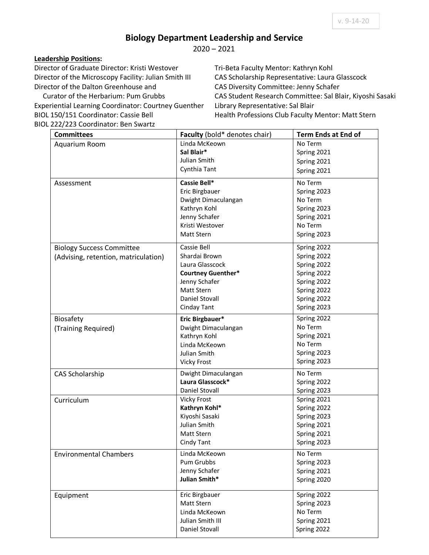## **Biology Department Leadership and Service**

2020 – 2021

## **Leadership Positions:**

Director of Graduate Director: Kristi Westover Director of the Microscopy Facility: Julian Smith III Director of the Dalton Greenhouse and

 Curator of the Herbarium: Pum Grubbs Experiential Learning Coordinator: Courtney Guenther BIOL 150/151 Coordinator: Cassie Bell BIOL 222/223 Coordinator: Ben Swartz

Tri-Beta Faculty Mentor: Kathryn Kohl CAS Scholarship Representative: Laura Glasscock CAS Diversity Committee: Jenny Schafer CAS Student Research Committee: Sal Blair, Kiyoshi Sasaki Library Representative: Sal Blair Health Professions Club Faculty Mentor: Matt Stern

| <b>Committees</b>                    | Faculty (bold* denotes chair) | <b>Term Ends at End of</b> |
|--------------------------------------|-------------------------------|----------------------------|
| Aquarium Room                        | Linda McKeown                 | No Term                    |
|                                      | Sal Blair*                    | Spring 2021                |
|                                      | Julian Smith                  | Spring 2021                |
|                                      | Cynthia Tant                  | Spring 2021                |
| Assessment                           | Cassie Bell*                  | No Term                    |
|                                      | Eric Birgbauer                | Spring 2023                |
|                                      | Dwight Dimaculangan           | No Term                    |
|                                      | Kathryn Kohl                  | Spring 2023                |
|                                      | Jenny Schafer                 | Spring 2021                |
|                                      | Kristi Westover               | No Term                    |
|                                      | Matt Stern                    | Spring 2023                |
| <b>Biology Success Committee</b>     | Cassie Bell                   | Spring 2022                |
| (Advising, retention, matriculation) | Shardai Brown                 | Spring 2022                |
|                                      | Laura Glasscock               | Spring 2022                |
|                                      | <b>Courtney Guenther*</b>     | Spring 2022                |
|                                      | Jenny Schafer                 | Spring 2022                |
|                                      | <b>Matt Stern</b>             | Spring 2022                |
|                                      | Daniel Stovall                | Spring 2022                |
|                                      | Cinday Tant                   | Spring 2023                |
| Biosafety                            | Eric Birgbauer*               | Spring 2022                |
| (Training Required)                  | Dwight Dimaculangan           | No Term                    |
|                                      | Kathryn Kohl                  | Spring 2021                |
|                                      | Linda McKeown                 | No Term                    |
|                                      | Julian Smith                  | Spring 2023                |
|                                      | <b>Vicky Frost</b>            | Spring 2023                |
| <b>CAS Scholarship</b>               | Dwight Dimaculangan           | No Term                    |
|                                      | Laura Glasscock*              | Spring 2022                |
|                                      | Daniel Stovall                | Spring 2023                |
| Curriculum                           | <b>Vicky Frost</b>            | Spring 2021                |
|                                      | Kathryn Kohl*                 | Spring 2022                |
|                                      | Kiyoshi Sasaki                | Spring 2023                |
|                                      | Julian Smith                  | Spring 2021                |
|                                      | Matt Stern                    | Spring 2021                |
|                                      | Cindy Tant                    | Spring 2023                |
| <b>Environmental Chambers</b>        | Linda McKeown                 | No Term                    |
|                                      | Pum Grubbs                    | Spring 2023                |
|                                      | Jenny Schafer                 | Spring 2021                |
|                                      | Julian Smith*                 | Spring 2020                |
| Equipment                            | Eric Birgbauer                | Spring 2022                |
|                                      | Matt Stern                    | Spring 2023                |
|                                      | Linda McKeown                 | No Term                    |
|                                      | Julian Smith III              | Spring 2021                |
|                                      | Daniel Stovall                | Spring 2022                |